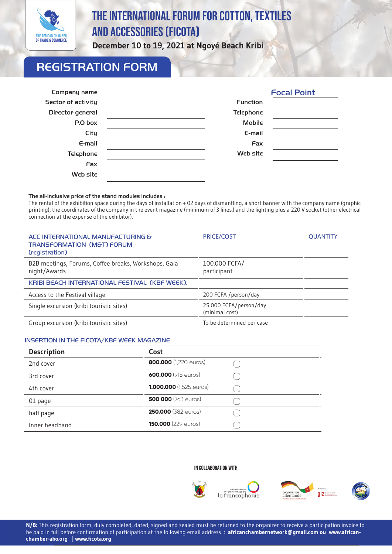

# The International Forum FOR Cotton, Textiles and accessories (FICOTA)

**December 10 to 19, 2021 at Ngoyé Beach Kribi**

# REGISTRATION FORM

| Company name              |                  | <b>Focal Point</b> |
|---------------------------|------------------|--------------------|
| <b>Sector of activity</b> | <b>Function</b>  |                    |
| Director general          | <b>Telephone</b> |                    |
| P.O box                   | Mobile           |                    |
| City                      | $E$ -mail        |                    |
| $E$ -mail                 | Fax              |                    |
| <b>Telephone</b>          | Web site         |                    |
| Fax                       |                  |                    |
| Web site                  |                  |                    |

#### The all-inclusive price of the stand modules includes :

The rental of the exhibition space during the days of installation + 02 days of dismantling, a short banner with the company name (graphic printing), the coordinates of the company in the event magazine (minimum of 3 lines.) and the lighting plus a 220 V socket (other electrical connection at the expense of the exhibitor).

| ACC INTERNATIONAL MANUFACTURING &<br><b>TRANSFORMATION (M&amp;T) FORUM</b><br>(registration) | <b>PRICE/COST</b>                        | <b>QUANTITY</b> |
|----------------------------------------------------------------------------------------------|------------------------------------------|-----------------|
| B2B meetings, Forums, Coffee breaks, Workshops, Gala<br>night/Awards                         | 100.000 FCFA/<br>participant             |                 |
| KRIBI BEACH INTERNATIONAL FESTIVAL (KBF WEEK).                                               |                                          |                 |
| Access to the Festival village                                                               | 200 FCFA /person/day.                    |                 |
| Single excursion (kribi touristic sites)                                                     | 25 000 FCFA/person/day<br>(minimal cost) |                 |
| Group excursion (kribi touristic sites)                                                      | To be determined per case                |                 |

#### INSERTION IN THE FICOTA/KBF WEEK MAGAZINE

,

| <b>Description</b> | Cost                       |  |
|--------------------|----------------------------|--|
| 2nd cover          | 800.000 (1,220 euros)      |  |
| 3rd cover          | 600.000 (915 euros)        |  |
| 4th cover          | 1.000.000 (1,525 euros)    |  |
| 01 page            | <b>500 000 (763 euros)</b> |  |
| half page          | <b>250.000 (382 euros)</b> |  |
| Inner headband     | <b>150.000</b> (229 euros) |  |

#### IN COLLABORATION WITH